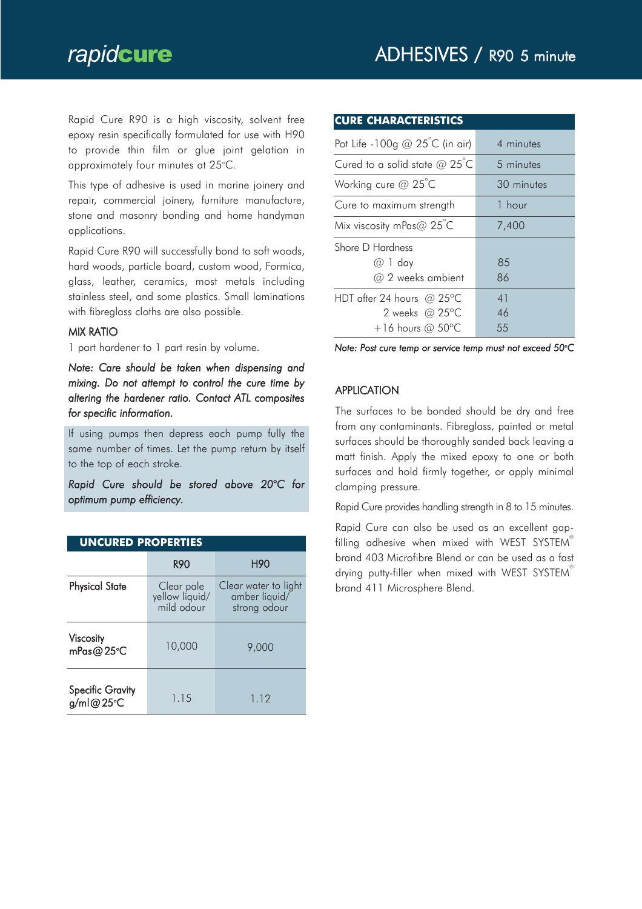Rapid Cure R90 is a high viscosity, solvent free epoxy resin specifically formulated for use with H90 to provide thin film or glue joint gelation in approximately four minutes at 25°C.

This type of adhesive is used in marine joinery and repair, commercial joinery, furniture manufacture, stone and masonry bonding and home handyman applications.

Rapid Cure R90 will successfully bond to soft woods, hard woods, particle board, custom wood, Formica, glass, leather, ceramics, most metals including stainless steel, and some plastics. Small laminations with fibreglass cloths are also possible.

#### MIX RATIO

1 part hardener to 1 part resin by volume.

*Note: Care should be taken when dispensing and mixing. Do not attempt to control the cure time by altering the hardener ratio. Contact ATL composites for specific information.*

If using pumps then depress each pump fully the same number of times. Let the pump return by itself to the top of each stroke.

*Rapid Cure should be stored above 20°C for optimum pump efficiency.*

| <b>UNCURED PROPERTIES</b>            |                                            |                                                       |  |  |
|--------------------------------------|--------------------------------------------|-------------------------------------------------------|--|--|
|                                      | <b>R90</b>                                 | H90                                                   |  |  |
| <b>Physical State</b>                | Clear pale<br>yellow liquid/<br>mild odour | Clear water to light<br>amber liquid/<br>strong odour |  |  |
| Viscosity<br>mPas@25°C               | 10,000                                     | 9,000                                                 |  |  |
| <b>Specific Gravity</b><br>g/ml@25°C | 1.15                                       | 1.12                                                  |  |  |

| <b>CURE CHARACTERISTICS</b>                   |            |  |
|-----------------------------------------------|------------|--|
| Pot Life -100g $@$ 25 <sup>°</sup> C (in air) | 4 minutes  |  |
| Cured to a solid state $@25^{\circ}$ C        | 5 minutes  |  |
| Working cure $@$ 25°C                         | 30 minutes |  |
| Cure to maximum strength                      | 1 hour     |  |
| Mix viscosity mPas $@$ 25°C                   | 7,400      |  |
| Shore D Hardness                              |            |  |
| $@1$ day                                      | 85         |  |
| $\omega$ 2 weeks ambient                      | 86         |  |
| HDT after 24 hours @ 25 $\degree$ C           | 41         |  |
| 2 weeks @ $25^{\circ}$ C                      | 46         |  |
| $+16$ hours @ 50°C                            | 55         |  |

*Note: Post cure temp or service temp must not exceed 50o C*

### **APPLICATION**

The surfaces to be bonded should be dry and free from any contaminants. Fibreglass, painted or metal surfaces should be thoroughly sanded back leaving a matt finish. Apply the mixed epoxy to one or both surfaces and hold firmly together, or apply minimal clamping pressure.

Rapid Cure provides handling strength in 8 to 15 minutes.

Rapid Cure can also be used as an excellent gapfilling adhesive when mixed with WEST SYSTEM® brand 403 Microfibre Blend or can be used as a fast drying putty-filler when mixed with WEST SYSTEM brand 411 Microsphere Blend.